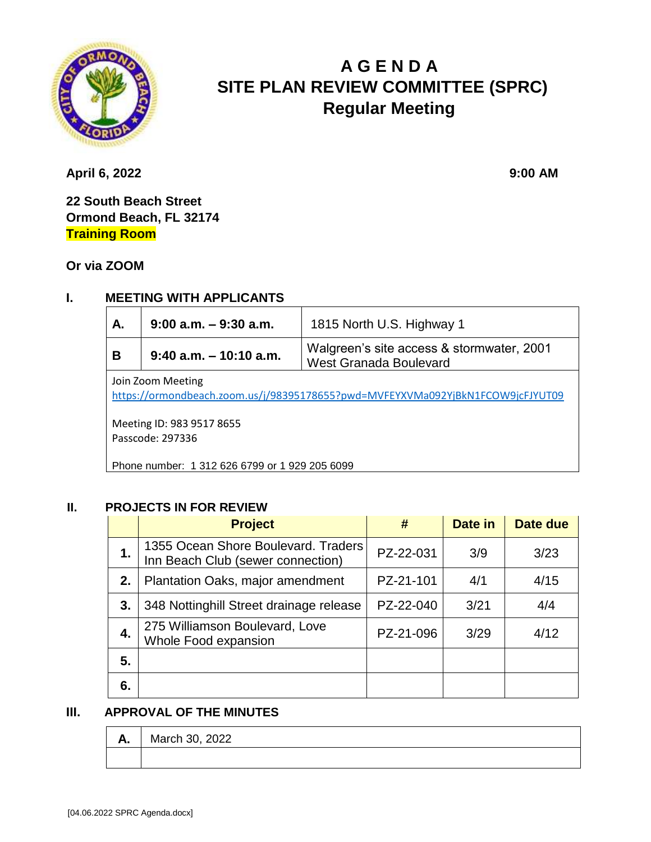

# **A G E N D A SITE PLAN REVIEW COMMITTEE (SPRC) Regular Meeting**

**April 6, 2022** 9:00 **AM** 

**22 South Beach Street Ormond Beach, FL 32174 Training Room**

**Or via ZOOM**

## **I. MEETING WITH APPLICANTS**

| А.                                                                                                                               | $9:00$ a.m. $-9:30$ a.m.                                                                                | 1815 North U.S. Highway 1 |  |  |  |
|----------------------------------------------------------------------------------------------------------------------------------|---------------------------------------------------------------------------------------------------------|---------------------------|--|--|--|
| В                                                                                                                                | Walgreen's site access & stormwater, 2001<br>$9:40$ a.m. $-10:10$ a.m.<br><b>West Granada Boulevard</b> |                           |  |  |  |
| Join Zoom Meeting<br>https://ormondbeach.zoom.us/j/98395178655?pwd=MVFEYXVMa092YjBkN1FCOW9jcFJYUT09<br>Meeting ID: 983 9517 8655 |                                                                                                         |                           |  |  |  |
| Passcode: 297336                                                                                                                 |                                                                                                         |                           |  |  |  |
| Phone number: 1 312 626 6799 or 1 929 205 6099                                                                                   |                                                                                                         |                           |  |  |  |

#### **II. PROJECTS IN FOR REVIEW**

|    | <b>Project</b>                                                           | #         | Date in | Date due |
|----|--------------------------------------------------------------------------|-----------|---------|----------|
| 1. | 1355 Ocean Shore Boulevard. Traders<br>Inn Beach Club (sewer connection) | PZ-22-031 | 3/9     | 3/23     |
| 2. | Plantation Oaks, major amendment                                         | PZ-21-101 | 4/1     | 4/15     |
| 3. | 348 Nottinghill Street drainage release                                  | PZ-22-040 | 3/21    | 4/4      |
| 4. | 275 Williamson Boulevard, Love<br>Whole Food expansion                   | PZ-21-096 | 3/29    | 4/12     |
| 5. |                                                                          |           |         |          |
| 6. |                                                                          |           |         |          |

#### **III. APPROVAL OF THE MINUTES**

| л. | March 30, 2022 |
|----|----------------|
|    |                |